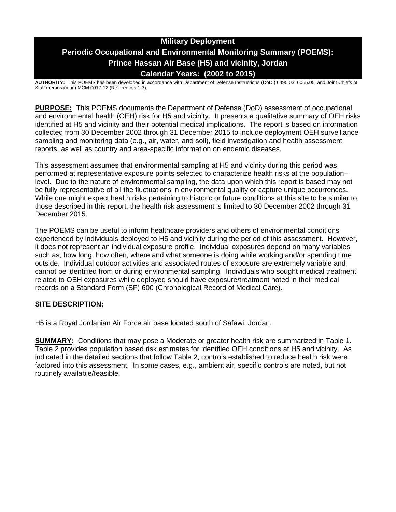# **Military Deployment Periodic Occupational and Environmental Monitoring Summary (POEMS): Prince Hassan Air Base (H5) and vicinity, Jordan Calendar Years: (2002 to 2015)**

**AUTHORITY:** This POEMS has been developed in accordance with Department of Defense Instructions (DoDI) 6490.03, 6055.05, and Joint Chiefs of Staff memorandum MCM 0017-12 (References 1-3).

**PURPOSE:** This POEMS documents the Department of Defense (DoD) assessment of occupational and environmental health (OEH) risk for H5 and vicinity. It presents a qualitative summary of OEH risks identified at H5 and vicinity and their potential medical implications. The report is based on information collected from 30 December 2002 through 31 December 2015 to include deployment OEH surveillance sampling and monitoring data (e.g., air, water, and soil), field investigation and health assessment reports, as well as country and area-specific information on endemic diseases.

This assessment assumes that environmental sampling at H5 and vicinity during this period was performed at representative exposure points selected to characterize health risks at the population– level. Due to the nature of environmental sampling, the data upon which this report is based may not be fully representative of all the fluctuations in environmental quality or capture unique occurrences. While one might expect health risks pertaining to historic or future conditions at this site to be similar to those described in this report, the health risk assessment is limited to 30 December 2002 through 31 December 2015.

The POEMS can be useful to inform healthcare providers and others of environmental conditions experienced by individuals deployed to H5 and vicinity during the period of this assessment. However, it does not represent an individual exposure profile. Individual exposures depend on many variables such as; how long, how often, where and what someone is doing while working and/or spending time outside. Individual outdoor activities and associated routes of exposure are extremely variable and cannot be identified from or during environmental sampling. Individuals who sought medical treatment related to OEH exposures while deployed should have exposure/treatment noted in their medical records on a Standard Form (SF) 600 (Chronological Record of Medical Care).

## **SITE DESCRIPTION:**

H5 is a Royal Jordanian Air Force air base located south of Safawi, Jordan.

**SUMMARY:** Conditions that may pose a Moderate or greater health risk are summarized in Table 1. Table 2 provides population based risk estimates for identified OEH conditions at H5 and vicinity. As indicated in the detailed sections that follow Table 2, controls established to reduce health risk were factored into this assessment. In some cases, e.g., ambient air, specific controls are noted, but not routinely available/feasible.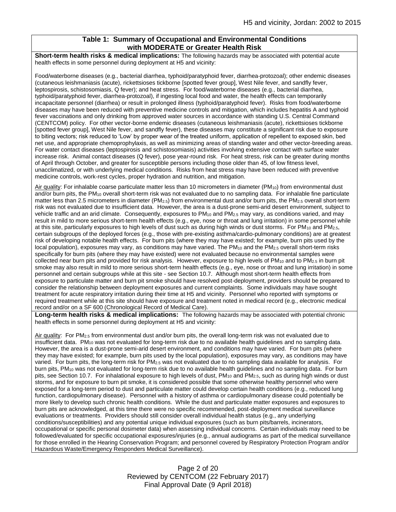## **Table 1: Summary of Occupational and Environmental Conditions with MODERATE or Greater Health Risk**

**Short-term health risks & medical implications:** The following hazards may be associated with potential acute health effects in some personnel during deployment at H5 and vicinity:

Food/waterborne diseases (e.g., bacterial diarrhea, typhoid/paratyphoid fever, diarrhea-protozoal); other endemic diseases (cutaneous leishmaniasis (acute), rickettsioses tickborne [spotted fever group], West Nile fever, and sandfly fever, leptospirosis, schistosomiasis, Q fever); and heat stress. For food/waterborne diseases (e.g., bacterial diarrhea, typhoid/paratyphoid fever, diarrhea-protozoal), if ingesting local food and water, the health effects can temporarily incapacitate personnel (diarrhea) or result in prolonged illness (typhoid/paratyphoid fever). Risks from food/waterborne diseases may have been reduced with preventive medicine controls and mitigation, which includes hepatitis A and typhoid fever vaccinations and only drinking from approved water sources in accordance with standing U.S. Central Command (CENTCOM) policy. For other vector-borne endemic diseases (cutaneous leishmaniasis (acute), rickettsioses tickborne [spotted fever group], West Nile fever, and sandfly fever), these diseases may constitute a significant risk due to exposure to biting vectors; risk reduced to 'Low' by proper wear of the treated uniform, application of repellent to exposed skin, bed net use, and appropriate chemoprophylaxis, as well as minimizing areas of standing water and other vector-breeding areas. For water contact diseases (leptospirosis and schistosomiasis) activities involving extensive contact with surface water increase risk. Animal contact diseases (Q fever), pose year-round risk. For heat stress, risk can be greater during months of April through October, and greater for susceptible persons including those older than 45, of low fitness level, unacclimatized, or with underlying medical conditions. Risks from heat stress may have been reduced with preventive medicine controls, work-rest cycles, proper hydration and nutrition, and mitigation.

Air quality: For inhalable coarse particulate matter less than 10 micrometers in diameter (PM<sub>10</sub>) from environmental dust and/or burn pits, the PM<sub>10</sub> overall short-term risk was not evaluated due to no sampling data. For inhalable fine particulate matter less than 2.5 micrometers in diameter (PM<sub>2.5</sub>) from environmental dust and/or burn pits, the PM<sub>2.5</sub> overall short-term risk was not evaluated due to insufficient data. However, the area is a dust-prone semi-arid desert environment, subject to vehicle traffic and an arid climate. Consequently, exposures to  $PM_{10}$  and  $PM_{2.5}$  may vary, as conditions varied, and may result in mild to more serious short-term health effects (e.g., eye, nose or throat and lung irritation) in some personnel while at this site, particularly exposures to high levels of dust such as during high winds or dust storms. For PM<sub>10</sub> and PM<sub>2.5</sub>, certain subgroups of the deployed forces (e.g., those with pre-existing asthma/cardio-pulmonary conditions) are at greatest risk of developing notable health effects. For burn pits (where they may have existed; for example, burn pits used by the local population), exposures may vary, as conditions may have varied. The  $PM_{10}$  and the  $PM_{2.5}$  overall short-term risks specifically for burn pits (where they may have existed) were not evaluated because no environmental samples were collected near burn pits and provided for risk analysis. However, exposure to high levels of  $PM_{10}$  and to  $PM_{2.5}$  in burn pit smoke may also result in mild to more serious short-term health effects (e.g., eye, nose or throat and lung irritation) in some personnel and certain subgroups while at this site - see Section 10.7. Although most short-term health effects from exposure to particulate matter and burn pit smoke should have resolved post-deployment, providers should be prepared to consider the relationship between deployment exposures and current complaints. Some individuals may have sought treatment for acute respiratory irritation during their time at H5 and vicinity. Personnel who reported with symptoms or required treatment while at this site should have exposure and treatment noted in medical record (e.g., electronic medical record and/or on a SF 600 (Chronological Record of Medical Care).

**Long-term health risks & medical implications:** The following hazards may be associated with potential chronic health effects in some personnel during deployment at H5 and vicinity:

Air quality: For PM<sub>2.5</sub> from environmental dust and/or burn pits, the overall long-term risk was not evaluated due to insufficient data. PM<sub>10</sub> was not evaluated for long-term risk due to no available health guidelines and no sampling data. However, the area is a dust-prone semi-arid desert environment, and conditions may have varied. For burn pits (where they may have existed; for example, burn pits used by the local population), exposures may vary, as conditions may have varied. For burn pits, the long-term risk for PM2.5 was not evaluated due to no sampling data available for analysis. For burn pits, PM<sup>10</sup> was not evaluated for long-term risk due to no available health guidelines and no sampling data. For burn pits, see Section 10.7. For inhalational exposure to high levels of dust,  $PM_{10}$  and  $PM_{2.5}$ , such as during high winds or dust storms, and for exposure to burn pit smoke, it is considered possible that some otherwise healthy personnel who were exposed for a long-term period to dust and particulate matter could develop certain health conditions (e.g., reduced lung function, cardiopulmonary disease). Personnel with a history of asthma or cardiopulmonary disease could potentially be more likely to develop such chronic health conditions. While the dust and particulate matter exposures and exposures to burn pits are acknowledged, at this time there were no specific recommended, post-deployment medical surveillance evaluations or treatments. Providers should still consider overall individual health status (e.g., any underlying conditions/susceptibilities) and any potential unique individual exposures (such as burn pits/barrels, incinerators, occupational or specific personal dosimeter data) when assessing individual concerns. Certain individuals may need to be followed/evaluated for specific occupational exposures/injuries (e.g., annual audiograms as part of the medical surveillance for those enrolled in the Hearing Conservation Program; and personnel covered by Respiratory Protection Program and/or Hazardous Waste/Emergency Responders Medical Surveillance).

> Page 2 of 20 Reviewed by CENTCOM (22 February 2017) Final Approval Date (9 April 2018)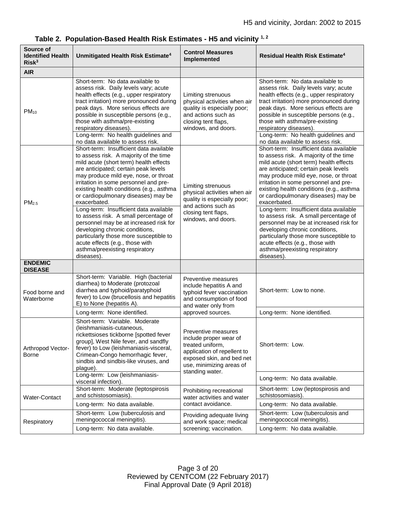| Source of<br><b>Identified Health</b><br>Risk <sup>3</sup> | Unmitigated Health Risk Estimate <sup>4</sup>                                                                                                                                                                                                                                                                                                                                                                                                 | <b>Control Measures</b><br>Implemented                                                                                                                                       | <b>Residual Health Risk Estimate<sup>4</sup></b>                                                                                                                                                                                                                                                                                                         |  |
|------------------------------------------------------------|-----------------------------------------------------------------------------------------------------------------------------------------------------------------------------------------------------------------------------------------------------------------------------------------------------------------------------------------------------------------------------------------------------------------------------------------------|------------------------------------------------------------------------------------------------------------------------------------------------------------------------------|----------------------------------------------------------------------------------------------------------------------------------------------------------------------------------------------------------------------------------------------------------------------------------------------------------------------------------------------------------|--|
| <b>AIR</b>                                                 |                                                                                                                                                                                                                                                                                                                                                                                                                                               |                                                                                                                                                                              |                                                                                                                                                                                                                                                                                                                                                          |  |
| $PM_{10}$                                                  | Short-term: No data available to<br>assess risk. Daily levels vary; acute<br>health effects (e.g., upper respiratory<br>tract irritation) more pronounced during<br>peak days. More serious effects are<br>possible in susceptible persons (e.g.,<br>those with asthma/pre-existing<br>respiratory diseases).<br>Long-term: No health guidelines and                                                                                          | Limiting strenuous<br>physical activities when air<br>quality is especially poor;<br>and actions such as<br>closing tent flaps,<br>windows, and doors.                       | Short-term: No data available to<br>assess risk. Daily levels vary; acute<br>health effects (e.g., upper respiratory<br>tract irritation) more pronounced during<br>peak days. More serious effects are<br>possible in susceptible persons (e.g.,<br>those with asthma/pre-existing<br>respiratory diseases).<br>Long-term: No health guidelines and     |  |
|                                                            | no data available to assess risk.                                                                                                                                                                                                                                                                                                                                                                                                             |                                                                                                                                                                              | no data available to assess risk.                                                                                                                                                                                                                                                                                                                        |  |
| PM <sub>2.5</sub>                                          | Short-term: Insufficient data available<br>to assess risk. A majority of the time<br>mild acute (short term) health effects<br>are anticipated; certain peak levels<br>may produce mild eye, nose, or throat<br>irritation in some personnel and pre-<br>Limiting strenuous<br>existing health conditions (e.g., asthma<br>physical activities when air<br>or cardiopulmonary diseases) may be<br>quality is especially poor;<br>exacerbated. |                                                                                                                                                                              | Short-term: Insufficient data available<br>to assess risk. A majority of the time<br>mild acute (short term) health effects<br>are anticipated; certain peak levels<br>may produce mild eye, nose, or throat<br>irritation in some personnel and pre-<br>existing health conditions (e.g., asthma<br>or cardiopulmonary diseases) may be<br>exacerbated. |  |
|                                                            | Long-term: Insufficient data available<br>to assess risk. A small percentage of<br>personnel may be at increased risk for<br>developing chronic conditions,<br>particularly those more susceptible to<br>acute effects (e.g., those with<br>asthma/preexisting respiratory<br>diseases)                                                                                                                                                       | and actions such as<br>closing tent flaps,<br>windows, and doors.                                                                                                            | Long-term: Insufficient data available<br>to assess risk. A small percentage of<br>personnel may be at increased risk for<br>developing chronic conditions,<br>particularly those more susceptible to<br>acute effects (e.g., those with<br>asthma/preexisting respiratory<br>diseases).                                                                 |  |
| <b>ENDEMIC</b><br><b>DISEASE</b>                           |                                                                                                                                                                                                                                                                                                                                                                                                                                               |                                                                                                                                                                              |                                                                                                                                                                                                                                                                                                                                                          |  |
| Food borne and<br>Waterborne                               | Short-term: Variable. High (bacterial<br>diarrhea) to Moderate (protozoal<br>diarrhea and typhoid/paratyphoid<br>fever) to Low (brucellosis and hepatitis<br>E) to None (hepatitis A).                                                                                                                                                                                                                                                        | Preventive measures<br>include hepatitis A and<br>typhoid fever vaccination<br>and consumption of food<br>and water only from                                                | Short-term: Low to none.                                                                                                                                                                                                                                                                                                                                 |  |
|                                                            | Long-term: None identified.                                                                                                                                                                                                                                                                                                                                                                                                                   | approved sources.                                                                                                                                                            | Long-term: None identified.                                                                                                                                                                                                                                                                                                                              |  |
| Arthropod Vector-<br>Borne                                 | Short-term: Variable. Moderate<br>(leishmaniasis-cutaneous,<br>rickettsioses tickborne [spotted fever<br>group], West Nile fever, and sandfly<br>fever) to Low (leishmaniasis-visceral,<br>Crimean-Congo hemorrhagic fever,<br>sindbis and sindbis-like viruses, and<br>plague).                                                                                                                                                              | Preventive measures<br>include proper wear of<br>treated uniform,<br>application of repellent to<br>exposed skin, and bed net<br>use, minimizing areas of<br>standing water. | Short-term: Low.                                                                                                                                                                                                                                                                                                                                         |  |
|                                                            | Long-term: Low (leishmaniasis-<br>visceral infection).                                                                                                                                                                                                                                                                                                                                                                                        |                                                                                                                                                                              | Long-term: No data available.                                                                                                                                                                                                                                                                                                                            |  |
| Water-Contact                                              | Short-term: Moderate (leptospirosis<br>and schistosomiasis).                                                                                                                                                                                                                                                                                                                                                                                  | Prohibiting recreational<br>water activities and water                                                                                                                       | Short-term: Low (leptospirosis and<br>schistosomiasis).                                                                                                                                                                                                                                                                                                  |  |
|                                                            | Long-term: No data available.                                                                                                                                                                                                                                                                                                                                                                                                                 | contact avoidance.                                                                                                                                                           | Long-term: No data available.                                                                                                                                                                                                                                                                                                                            |  |
| Respiratory                                                | Short-term: Low (tuberculosis and<br>meningococcal meningitis).                                                                                                                                                                                                                                                                                                                                                                               | Providing adequate living<br>and work space; medical                                                                                                                         | Short-term: Low (tuberculosis and<br>meningococcal meningitis).                                                                                                                                                                                                                                                                                          |  |
|                                                            | Long-term: No data available.                                                                                                                                                                                                                                                                                                                                                                                                                 | screening; vaccination.                                                                                                                                                      | Long-term: No data available.                                                                                                                                                                                                                                                                                                                            |  |

|  |  |  | Table 2. Population-Based Health Risk Estimates - H5 and vicinity $^{1,2}$ |  |  |
|--|--|--|----------------------------------------------------------------------------|--|--|
|--|--|--|----------------------------------------------------------------------------|--|--|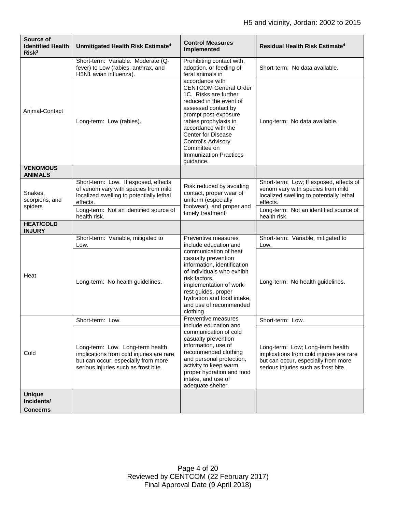| Source of<br><b>Identified Health</b><br>Risk <sup>3</sup> | Unmitigated Health Risk Estimate <sup>4</sup>                                                                                                               | <b>Control Measures</b><br>Implemented                                                                                                                                                                                                                                                                              | <b>Residual Health Risk Estimate<sup>4</sup></b>                                                                                                            |
|------------------------------------------------------------|-------------------------------------------------------------------------------------------------------------------------------------------------------------|---------------------------------------------------------------------------------------------------------------------------------------------------------------------------------------------------------------------------------------------------------------------------------------------------------------------|-------------------------------------------------------------------------------------------------------------------------------------------------------------|
| Animal-Contact                                             | Short-term: Variable. Moderate (Q-<br>fever) to Low (rabies, anthrax, and<br>H5N1 avian influenza).                                                         | Prohibiting contact with,<br>adoption, or feeding of<br>feral animals in                                                                                                                                                                                                                                            | Short-term: No data available.                                                                                                                              |
|                                                            | Long-term: Low (rabies).                                                                                                                                    | accordance with<br><b>CENTCOM General Order</b><br>1C. Risks are further<br>reduced in the event of<br>assessed contact by<br>prompt post-exposure<br>rabies prophylaxis in<br>accordance with the<br><b>Center for Disease</b><br>Control's Advisory<br>Committee on<br><b>Immunization Practices</b><br>quidance. | Long-term: No data available.                                                                                                                               |
| <b>VENOMOUS</b><br><b>ANIMALS</b>                          |                                                                                                                                                             |                                                                                                                                                                                                                                                                                                                     |                                                                                                                                                             |
| Snakes,<br>scorpions, and<br>spiders                       | Short-term: Low. If exposed, effects<br>of venom vary with species from mild<br>localized swelling to potentially lethal<br>effects.                        | Risk reduced by avoiding<br>contact, proper wear of<br>uniform (especially                                                                                                                                                                                                                                          | Short-term: Low; If exposed, effects of<br>venom vary with species from mild<br>localized swelling to potentially lethal<br>effects.                        |
|                                                            | Long-term: Not an identified source of<br>health risk.                                                                                                      | footwear), and proper and<br>timely treatment.                                                                                                                                                                                                                                                                      | Long-term: Not an identified source of<br>health risk.                                                                                                      |
| <b>HEAT/COLD</b><br><b>INJURY</b>                          |                                                                                                                                                             |                                                                                                                                                                                                                                                                                                                     |                                                                                                                                                             |
| Heat                                                       | Short-term: Variable, mitigated to<br>Low.                                                                                                                  | Preventive measures<br>include education and                                                                                                                                                                                                                                                                        | Short-term: Variable, mitigated to<br>Low.                                                                                                                  |
|                                                            | Long-term: No health guidelines.                                                                                                                            | communication of heat<br>casualty prevention<br>information, identification<br>of individuals who exhibit<br>risk factors,<br>implementation of work-<br>rest guides, proper<br>hydration and food intake,<br>and use of recommended<br>clothing.                                                                   | Long-term: No health guidelines.                                                                                                                            |
| Cold                                                       | Short-term: Low.                                                                                                                                            | Preventive measures<br>include education and                                                                                                                                                                                                                                                                        | Short-term: Low.                                                                                                                                            |
|                                                            | Long-term: Low. Long-term health<br>implications from cold injuries are rare<br>but can occur, especially from more<br>serious injuries such as frost bite. | communication of cold<br>casualty prevention<br>information, use of<br>recommended clothing<br>and personal protection,<br>activity to keep warm,<br>proper hydration and food<br>intake, and use of<br>adequate shelter.                                                                                           | Long-term: Low; Long-term health<br>implications from cold injuries are rare<br>but can occur, especially from more<br>serious injuries such as frost bite. |
| <b>Unique</b><br>Incidents/<br><b>Concerns</b>             |                                                                                                                                                             |                                                                                                                                                                                                                                                                                                                     |                                                                                                                                                             |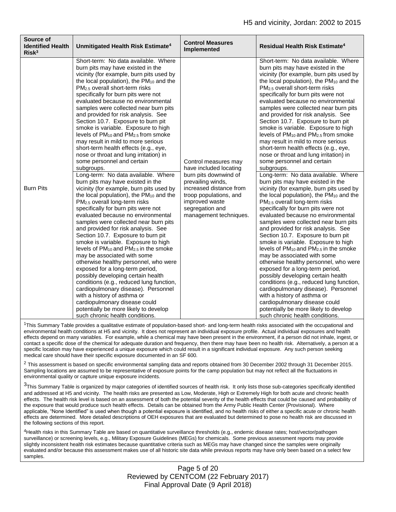| Source of<br><b>Identified Health</b><br>Risk <sup>3</sup> | Unmitigated Health Risk Estimate <sup>4</sup>                                                                                                                                                                                                                                                                                                                                                                                                                                                                                                                                                                                                                                                                                                                                                                                                                                                                                                                                                                                                                                                                                                                                                                                                                                                                                                                                                                                                                                                                                                                                                                     | <b>Control Measures</b><br>Implemented                                                                                                                                                                           | <b>Residual Health Risk Estimate<sup>4</sup></b>                                                                                                                                                                                                                                                                                                                                                                                                                                                                                                                                                                                                                                                                                                                                                                                                                                                                                                                                                                                                                                                                                                                                                                                                                                                                                                                                                                                                                                                                                                                                                      |
|------------------------------------------------------------|-------------------------------------------------------------------------------------------------------------------------------------------------------------------------------------------------------------------------------------------------------------------------------------------------------------------------------------------------------------------------------------------------------------------------------------------------------------------------------------------------------------------------------------------------------------------------------------------------------------------------------------------------------------------------------------------------------------------------------------------------------------------------------------------------------------------------------------------------------------------------------------------------------------------------------------------------------------------------------------------------------------------------------------------------------------------------------------------------------------------------------------------------------------------------------------------------------------------------------------------------------------------------------------------------------------------------------------------------------------------------------------------------------------------------------------------------------------------------------------------------------------------------------------------------------------------------------------------------------------------|------------------------------------------------------------------------------------------------------------------------------------------------------------------------------------------------------------------|-------------------------------------------------------------------------------------------------------------------------------------------------------------------------------------------------------------------------------------------------------------------------------------------------------------------------------------------------------------------------------------------------------------------------------------------------------------------------------------------------------------------------------------------------------------------------------------------------------------------------------------------------------------------------------------------------------------------------------------------------------------------------------------------------------------------------------------------------------------------------------------------------------------------------------------------------------------------------------------------------------------------------------------------------------------------------------------------------------------------------------------------------------------------------------------------------------------------------------------------------------------------------------------------------------------------------------------------------------------------------------------------------------------------------------------------------------------------------------------------------------------------------------------------------------------------------------------------------------|
| <b>Burn Pits</b>                                           | Short-term: No data available. Where<br>burn pits may have existed in the<br>vicinity (for example, burn pits used by<br>the local population), the PM <sub>10</sub> and the<br>PM <sub>2.5</sub> overall short-term risks<br>specifically for burn pits were not<br>evaluated because no environmental<br>samples were collected near burn pits<br>and provided for risk analysis. See<br>Section 10.7. Exposure to burn pit<br>smoke is variable. Exposure to high<br>levels of $PM_{10}$ and $PM_{2.5}$ from smoke<br>may result in mild to more serious<br>short-term health effects (e.g., eye,<br>nose or throat and lung irritation) in<br>some personnel and certain<br>subgroups.<br>Long-term: No data available. Where<br>burn pits may have existed in the<br>vicinity (for example, burn pits used by<br>the local population), the PM <sub>10</sub> and the<br>PM <sub>2.5</sub> overall long-term risks<br>specifically for burn pits were not<br>evaluated because no environmental<br>samples were collected near burn pits<br>and provided for risk analysis. See<br>Section 10.7. Exposure to burn pit<br>smoke is variable. Exposure to high<br>levels of PM <sub>10</sub> and PM <sub>2.5</sub> in the smoke<br>may be associated with some<br>otherwise healthy personnel, who were<br>exposed for a long-term period,<br>possibly developing certain health<br>conditions (e.g., reduced lung function,<br>cardiopulmonary disease). Personnel<br>with a history of asthma or<br>cardiopulmonary disease could<br>potentially be more likely to develop<br>such chronic health conditions. | Control measures may<br>have included locating<br>burn pits downwind of<br>prevailing winds,<br>increased distance from<br>troop populations, and<br>improved waste<br>segregation and<br>management techniques. | Short-term: No data available. Where<br>burn pits may have existed in the<br>vicinity (for example, burn pits used by<br>the local population), the PM10 and the<br>PM <sub>2.5</sub> overall short-term risks<br>specifically for burn pits were not<br>evaluated because no environmental<br>samples were collected near burn pits<br>and provided for risk analysis. See<br>Section 10.7. Exposure to burn pit<br>smoke is variable. Exposure to high<br>levels of $PM_{10}$ and $PM_{2.5}$ from smoke<br>may result in mild to more serious<br>short-term health effects (e.g., eye,<br>nose or throat and lung irritation) in<br>some personnel and certain<br>subgroups.<br>Long-term: No data available. Where<br>burn pits may have existed in the<br>vicinity (for example, burn pits used by<br>the local population), the PM <sub>10</sub> and the<br>PM <sub>2.5</sub> overall long-term risks<br>specifically for burn pits were not<br>evaluated because no environmental<br>samples were collected near burn pits<br>and provided for risk analysis. See<br>Section 10.7. Exposure to burn pit<br>smoke is variable. Exposure to high<br>levels of PM <sub>10</sub> and PM <sub>2.5</sub> in the smoke<br>may be associated with some<br>otherwise healthy personnel, who were<br>exposed for a long-term period,<br>possibly developing certain health<br>conditions (e.g., reduced lung function,<br>cardiopulmonary disease). Personnel<br>with a history of asthma or<br>cardiopulmonary disease could<br>potentially be more likely to develop<br>such chronic health conditions. |

<sup>1</sup>This Summary Table provides a qualitative estimate of population-based short- and long-term health risks associated with the occupational and environmental health conditions at H5 and vicinity. It does not represent an individual exposure profile. Actual individual exposures and health effects depend on many variables. For example, while a chemical may have been present in the environment, if a person did not inhale, ingest, or contact a specific dose of the chemical for adequate duration and frequency, then there may have been no health risk. Alternatively, a person at a specific location may have experienced a unique exposure which could result in a significant individual exposure. Any such person seeking medical care should have their specific exposure documented in an SF 600.

 $2$  This assessment is based on specific environmental sampling data and reports obtained from 30 December 2002 through 31 December 2015. Sampling locations are assumed to be representative of exposure points for the camp population but may not reflect all the fluctuations in environmental quality or capture unique exposure incidents.

<sup>3</sup>This Summary Table is organized by major categories of identified sources of health risk. It only lists those sub-categories specifically identified and addressed at H5 and vicinity. The health risks are presented as Low, Moderate, High or Extremely High for both acute and chronic health effects. The health risk level is based on an assessment of both the potential severity of the health effects that could be caused and probability of the exposure that would produce such health effects. Details can be obtained from the Army Public Health Center (Provisional). Where applicable, "None Identified" is used when though a potential exposure is identified, and no health risks of either a specific acute or chronic health effects are determined. More detailed descriptions of OEH exposures that are evaluated but determined to pose no health risk are discussed in the following sections of this report.

<sup>4</sup>Health risks in this Summary Table are based on quantitative surveillance thresholds (e.g., endemic disease rates; host/vector/pathogen surveillance) or screening levels, e.g., Military Exposure Guidelines (MEGs) for chemicals. Some previous assessment reports may provide slightly inconsistent health risk estimates because quantitative criteria such as MEGs may have changed since the samples were originally evaluated and/or because this assessment makes use of all historic site data while previous reports may have only been based on a select few samples.

> Page 5 of 20 Reviewed by CENTCOM (22 February 2017) Final Approval Date (9 April 2018)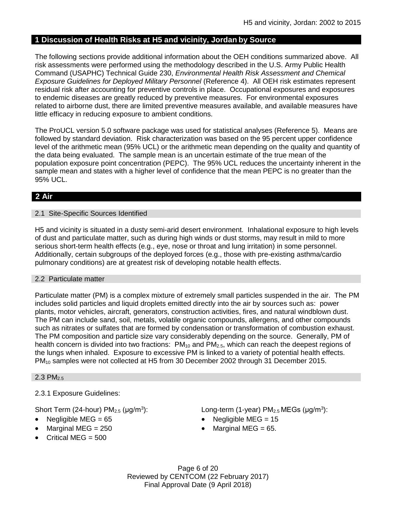## **1 Discussion of Health Risks at H5 and vicinity, Jordan by Source**

The following sections provide additional information about the OEH conditions summarized above. All risk assessments were performed using the methodology described in the U.S. Army Public Health Command (USAPHC) Technical Guide 230, *Environmental Health Risk Assessment and Chemical Exposure Guidelines for Deployed Military Personnel* (Reference 4). All OEH risk estimates represent residual risk after accounting for preventive controls in place. Occupational exposures and exposures to endemic diseases are greatly reduced by preventive measures. For environmental exposures related to airborne dust, there are limited preventive measures available, and available measures have little efficacy in reducing exposure to ambient conditions.

The ProUCL version 5.0 software package was used for statistical analyses (Reference 5). Means are followed by standard deviation. Risk characterization was based on the 95 percent upper confidence level of the arithmetic mean (95% UCL) or the arithmetic mean depending on the quality and quantity of the data being evaluated. The sample mean is an uncertain estimate of the true mean of the population exposure point concentration (PEPC). The 95% UCL reduces the uncertainty inherent in the sample mean and states with a higher level of confidence that the mean PEPC is no greater than the 95% UCL.

# **2 Air**

## 2.1 Site-Specific Sources Identified

H5 and vicinity is situated in a dusty semi-arid desert environment. Inhalational exposure to high levels of dust and particulate matter, such as during high winds or dust storms, may result in mild to more serious short-term health effects (e.g., eye, nose or throat and lung irritation) in some personnel. Additionally, certain subgroups of the deployed forces (e.g., those with pre-existing asthma/cardio pulmonary conditions) are at greatest risk of developing notable health effects.

## 2.2 Particulate matter

Particulate matter (PM) is a complex mixture of extremely small particles suspended in the air. The PM includes solid particles and liquid droplets emitted directly into the air by sources such as: power plants, motor vehicles, aircraft, generators, construction activities, fires, and natural windblown dust. The PM can include sand, soil, metals, volatile organic compounds, allergens, and other compounds such as nitrates or sulfates that are formed by condensation or transformation of combustion exhaust. The PM composition and particle size vary considerably depending on the source. Generally, PM of health concern is divided into two fractions:  $PM_{10}$  and  $PM_{2.5}$ , which can reach the deepest regions of the lungs when inhaled. Exposure to excessive PM is linked to a variety of potential health effects. PM<sub>10</sub> samples were not collected at H5 from 30 December 2002 through 31 December 2015.

### $2.3$  PM<sub>2.5</sub>

## 2.3.1 Exposure Guidelines:

Short Term (24-hour)  $PM<sub>2.5</sub>$  ( $\mu q/m<sup>3</sup>$ ):

- 
- 
- $\bullet$  Critical MEG = 500

): Long-term (1-year)  $PM<sub>2.5</sub> MEGs (µg/m<sup>3</sup>)$ :

- Negligible MEG =  $65$  Negligible MEG =  $15$
- Marginal MEG =  $250$   $\bullet$  Marginal MEG =  $65$ .

Page 6 of 20 Reviewed by CENTCOM (22 February 2017) Final Approval Date (9 April 2018)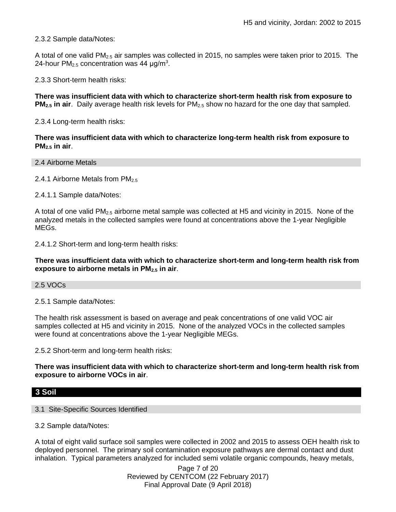2.3.2 Sample data/Notes:

A total of one valid PM2.5 air samples was collected in 2015, no samples were taken prior to 2015. The 24-hour  $PM<sub>2.5</sub>$  concentration was 44  $\mu$ g/m<sup>3</sup>.

2.3.3 Short-term health risks:

**There was insufficient data with which to characterize short-term health risk from exposure to PM2.5 in air**. Daily average health risk levels for PM2.5 show no hazard for the one day that sampled.

2.3.4 Long-term health risks:

**There was insufficient data with which to characterize long-term health risk from exposure to PM2.5 in air**.

2.4 Airborne Metals

2.4.1 Airborne Metals from  $PM_{2.5}$ 

2.4.1.1 Sample data/Notes:

A total of one valid PM2.5 airborne metal sample was collected at H5 and vicinity in 2015. None of the analyzed metals in the collected samples were found at concentrations above the 1-year Negligible MEGs.

2.4.1.2 Short-term and long-term health risks:

**There was insufficient data with which to characterize short-term and long-term health risk from exposure to airborne metals in PM2.5 in air**.

2.5 VOCs

2.5.1 Sample data/Notes:

The health risk assessment is based on average and peak concentrations of one valid VOC air samples collected at H5 and vicinity in 2015. None of the analyzed VOCs in the collected samples were found at concentrations above the 1-year Negligible MEGs.

2.5.2 Short-term and long-term health risks:

**There was insufficient data with which to characterize short-term and long-term health risk from exposure to airborne VOCs in air**.

## **3 Soil**

3.1 Site-Specific Sources Identified

3.2 Sample data/Notes:

A total of eight valid surface soil samples were collected in 2002 and 2015 to assess OEH health risk to deployed personnel. The primary soil contamination exposure pathways are dermal contact and dust inhalation. Typical parameters analyzed for included semi volatile organic compounds, heavy metals,

> Page 7 of 20 Reviewed by CENTCOM (22 February 2017) Final Approval Date (9 April 2018)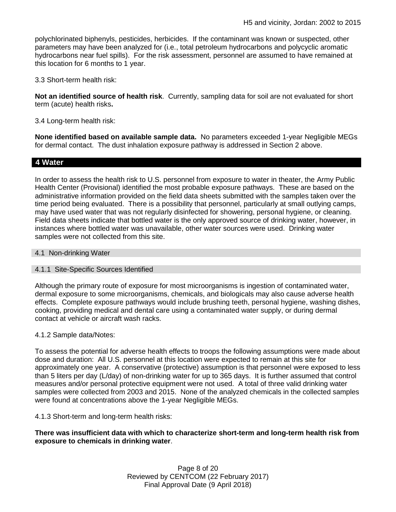polychlorinated biphenyls, pesticides, herbicides. If the contaminant was known or suspected, other parameters may have been analyzed for (i.e., total petroleum hydrocarbons and polycyclic aromatic hydrocarbons near fuel spills). For the risk assessment, personnel are assumed to have remained at this location for 6 months to 1 year.

3.3 Short-term health risk:

**Not an identified source of health risk**. Currently, sampling data for soil are not evaluated for short term (acute) health risks**.**

3.4 Long-term health risk:

**None identified based on available sample data.** No parameters exceeded 1-year Negligible MEGs for dermal contact. The dust inhalation exposure pathway is addressed in Section 2 above.

## **4 Water**

In order to assess the health risk to U.S. personnel from exposure to water in theater, the Army Public Health Center (Provisional) identified the most probable exposure pathways. These are based on the administrative information provided on the field data sheets submitted with the samples taken over the time period being evaluated. There is a possibility that personnel, particularly at small outlying camps, may have used water that was not regularly disinfected for showering, personal hygiene, or cleaning. Field data sheets indicate that bottled water is the only approved source of drinking water, however, in instances where bottled water was unavailable, other water sources were used. Drinking water samples were not collected from this site.

## 4.1 Non-drinking Water

### 4.1.1 Site-Specific Sources Identified

Although the primary route of exposure for most microorganisms is ingestion of contaminated water, dermal exposure to some microorganisms, chemicals, and biologicals may also cause adverse health effects. Complete exposure pathways would include brushing teeth, personal hygiene, washing dishes, cooking, providing medical and dental care using a contaminated water supply, or during dermal contact at vehicle or aircraft wash racks.

### 4.1.2 Sample data/Notes:

To assess the potential for adverse health effects to troops the following assumptions were made about dose and duration: All U.S. personnel at this location were expected to remain at this site for approximately one year. A conservative (protective) assumption is that personnel were exposed to less than 5 liters per day (L/day) of non-drinking water for up to 365 days. It is further assumed that control measures and/or personal protective equipment were not used. A total of three valid drinking water samples were collected from 2003 and 2015. None of the analyzed chemicals in the collected samples were found at concentrations above the 1-year Negligible MEGs.

4.1.3 Short-term and long-term health risks:

**There was insufficient data with which to characterize short-term and long-term health risk from exposure to chemicals in drinking water**.

> Page 8 of 20 Reviewed by CENTCOM (22 February 2017) Final Approval Date (9 April 2018)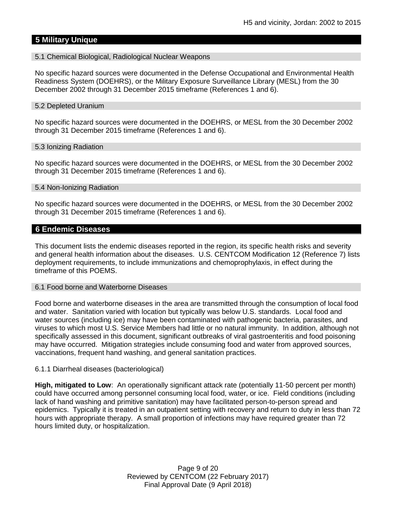## **5 Military Unique**

#### 5.1 Chemical Biological, Radiological Nuclear Weapons

No specific hazard sources were documented in the Defense Occupational and Environmental Health Readiness System (DOEHRS), or the Military Exposure Surveillance Library (MESL) from the 30 December 2002 through 31 December 2015 timeframe (References 1 and 6).

#### 5.2 Depleted Uranium

No specific hazard sources were documented in the DOEHRS, or MESL from the 30 December 2002 through 31 December 2015 timeframe (References 1 and 6).

#### 5.3 Ionizing Radiation

No specific hazard sources were documented in the DOEHRS, or MESL from the 30 December 2002 through 31 December 2015 timeframe (References 1 and 6).

#### 5.4 Non-Ionizing Radiation

No specific hazard sources were documented in the DOEHRS, or MESL from the 30 December 2002 through 31 December 2015 timeframe (References 1 and 6).

### **6 Endemic Diseases**

This document lists the endemic diseases reported in the region, its specific health risks and severity and general health information about the diseases. U.S. CENTCOM Modification 12 (Reference 7) lists deployment requirements, to include immunizations and chemoprophylaxis, in effect during the timeframe of this POEMS.

#### 6.1 Food borne and Waterborne Diseases

Food borne and waterborne diseases in the area are transmitted through the consumption of local food and water. Sanitation varied with location but typically was below U.S. standards. Local food and water sources (including ice) may have been contaminated with pathogenic bacteria, parasites, and viruses to which most U.S. Service Members had little or no natural immunity. In addition, although not specifically assessed in this document, significant outbreaks of viral gastroenteritis and food poisoning may have occurred. Mitigation strategies include consuming food and water from approved sources, vaccinations, frequent hand washing, and general sanitation practices.

### 6.1.1 Diarrheal diseases (bacteriological)

**High, mitigated to Low**: An operationally significant attack rate (potentially 11-50 percent per month) could have occurred among personnel consuming local food, water, or ice. Field conditions (including lack of hand washing and primitive sanitation) may have facilitated person-to-person spread and epidemics. Typically it is treated in an outpatient setting with recovery and return to duty in less than 72 hours with appropriate therapy. A small proportion of infections may have required greater than 72 hours limited duty, or hospitalization.

> Page 9 of 20 Reviewed by CENTCOM (22 February 2017) Final Approval Date (9 April 2018)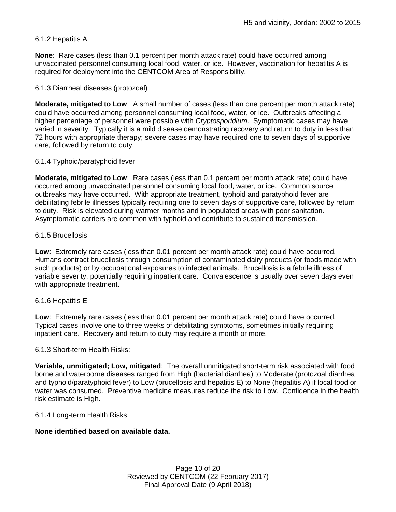## 6.1.2 Hepatitis A

**None**: Rare cases (less than 0.1 percent per month attack rate) could have occurred among unvaccinated personnel consuming local food, water, or ice. However, vaccination for hepatitis A is required for deployment into the CENTCOM Area of Responsibility.

## 6.1.3 Diarrheal diseases (protozoal)

**Moderate, mitigated to Low**: A small number of cases (less than one percent per month attack rate) could have occurred among personnel consuming local food, water, or ice. Outbreaks affecting a higher percentage of personnel were possible with *Cryptosporidium*. Symptomatic cases may have varied in severity. Typically it is a mild disease demonstrating recovery and return to duty in less than 72 hours with appropriate therapy; severe cases may have required one to seven days of supportive care, followed by return to duty.

## 6.1.4 Typhoid/paratyphoid fever

**Moderate, mitigated to Low**: Rare cases (less than 0.1 percent per month attack rate) could have occurred among unvaccinated personnel consuming local food, water, or ice. Common source outbreaks may have occurred. With appropriate treatment, typhoid and paratyphoid fever are debilitating febrile illnesses typically requiring one to seven days of supportive care, followed by return to duty. Risk is elevated during warmer months and in populated areas with poor sanitation. Asymptomatic carriers are common with typhoid and contribute to sustained transmission.

## 6.1.5 Brucellosis

**Low**: Extremely rare cases (less than 0.01 percent per month attack rate) could have occurred. Humans contract brucellosis through consumption of contaminated dairy products (or foods made with such products) or by occupational exposures to infected animals. Brucellosis is a febrile illness of variable severity, potentially requiring inpatient care. Convalescence is usually over seven days even with appropriate treatment.

## 6.1.6 Hepatitis E

**Low**: Extremely rare cases (less than 0.01 percent per month attack rate) could have occurred. Typical cases involve one to three weeks of debilitating symptoms, sometimes initially requiring inpatient care. Recovery and return to duty may require a month or more.

## 6.1.3 Short-term Health Risks:

**Variable, unmitigated; Low, mitigated**: The overall unmitigated short-term risk associated with food borne and waterborne diseases ranged from High (bacterial diarrhea) to Moderate (protozoal diarrhea and typhoid/paratyphoid fever) to Low (brucellosis and hepatitis E) to None (hepatitis A) if local food or water was consumed. Preventive medicine measures reduce the risk to Low. Confidence in the health risk estimate is High.

## 6.1.4 Long-term Health Risks:

## **None identified based on available data.**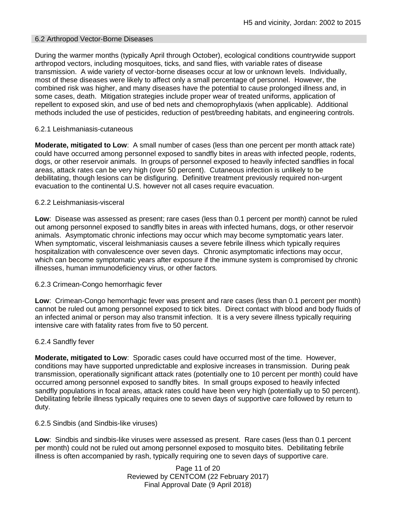## 6.2 Arthropod Vector-Borne Diseases

During the warmer months (typically April through October), ecological conditions countrywide support arthropod vectors, including mosquitoes, ticks, and sand flies, with variable rates of disease transmission. A wide variety of vector-borne diseases occur at low or unknown levels. Individually, most of these diseases were likely to affect only a small percentage of personnel. However, the combined risk was higher, and many diseases have the potential to cause prolonged illness and, in some cases, death. Mitigation strategies include proper wear of treated uniforms, application of repellent to exposed skin, and use of bed nets and chemoprophylaxis (when applicable). Additional methods included the use of pesticides, reduction of pest/breeding habitats, and engineering controls.

## 6.2.1 Leishmaniasis-cutaneous

**Moderate, mitigated to Low**: A small number of cases (less than one percent per month attack rate) could have occurred among personnel exposed to sandfly bites in areas with infected people, rodents, dogs, or other reservoir animals. In groups of personnel exposed to heavily infected sandflies in focal areas, attack rates can be very high (over 50 percent). Cutaneous infection is unlikely to be debilitating, though lesions can be disfiguring. Definitive treatment previously required non-urgent evacuation to the continental U.S. however not all cases require evacuation.

## 6.2.2 Leishmaniasis-visceral

**Low**: Disease was assessed as present; rare cases (less than 0.1 percent per month) cannot be ruled out among personnel exposed to sandfly bites in areas with infected humans, dogs, or other reservoir animals. Asymptomatic chronic infections may occur which may become symptomatic years later. When symptomatic, visceral leishmaniasis causes a severe febrile illness which typically requires hospitalization with convalescence over seven days. Chronic asymptomatic infections may occur, which can become symptomatic years after exposure if the immune system is compromised by chronic illnesses, human immunodeficiency virus, or other factors.

### 6.2.3 Crimean-Congo hemorrhagic fever

**Low**: Crimean-Congo hemorrhagic fever was present and rare cases (less than 0.1 percent per month) cannot be ruled out among personnel exposed to tick bites. Direct contact with blood and body fluids of an infected animal or person may also transmit infection. It is a very severe illness typically requiring intensive care with fatality rates from five to 50 percent.

### 6.2.4 Sandfly fever

**Moderate, mitigated to Low**: Sporadic cases could have occurred most of the time. However, conditions may have supported unpredictable and explosive increases in transmission. During peak transmission, operationally significant attack rates (potentially one to 10 percent per month) could have occurred among personnel exposed to sandfly bites. In small groups exposed to heavily infected sandfly populations in focal areas, attack rates could have been very high (potentially up to 50 percent). Debilitating febrile illness typically requires one to seven days of supportive care followed by return to duty.

### 6.2.5 Sindbis (and Sindbis-like viruses)

**Low**: Sindbis and sindbis-like viruses were assessed as present. Rare cases (less than 0.1 percent per month) could not be ruled out among personnel exposed to mosquito bites. Debilitating febrile illness is often accompanied by rash, typically requiring one to seven days of supportive care.

> Page 11 of 20 Reviewed by CENTCOM (22 February 2017) Final Approval Date (9 April 2018)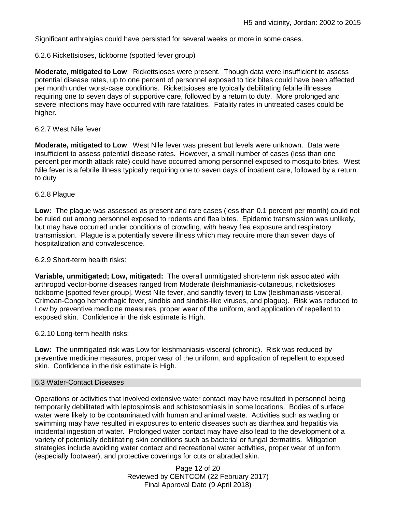Significant arthralgias could have persisted for several weeks or more in some cases.

6.2.6 Rickettsioses, tickborne (spotted fever group)

**Moderate, mitigated to Low**: Rickettsioses were present. Though data were insufficient to assess potential disease rates, up to one percent of personnel exposed to tick bites could have been affected per month under worst-case conditions. Rickettsioses are typically debilitating febrile illnesses requiring one to seven days of supportive care, followed by a return to duty. More prolonged and severe infections may have occurred with rare fatalities. Fatality rates in untreated cases could be higher.

### 6.2.7 West Nile fever

**Moderate, mitigated to Low**: West Nile fever was present but levels were unknown. Data were insufficient to assess potential disease rates. However, a small number of cases (less than one percent per month attack rate) could have occurred among personnel exposed to mosquito bites. West Nile fever is a febrile illness typically requiring one to seven days of inpatient care, followed by a return to duty

### 6.2.8 Plague

**Low:** The plague was assessed as present and rare cases (less than 0.1 percent per month) could not be ruled out among personnel exposed to rodents and flea bites. Epidemic transmission was unlikely, but may have occurred under conditions of crowding, with heavy flea exposure and respiratory transmission. Plague is a potentially severe illness which may require more than seven days of hospitalization and convalescence.

#### 6.2.9 Short-term health risks:

**Variable, unmitigated; Low, mitigated:** The overall unmitigated short-term risk associated with arthropod vector-borne diseases ranged from Moderate (leishmaniasis-cutaneous, rickettsioses tickborne [spotted fever group], West Nile fever, and sandfly fever) to Low (leishmaniasis-visceral, Crimean-Congo hemorrhagic fever, sindbis and sindbis-like viruses, and plague). Risk was reduced to Low by preventive medicine measures, proper wear of the uniform, and application of repellent to exposed skin. Confidence in the risk estimate is High.

### 6.2.10 Long-term health risks:

**Low:** The unmitigated risk was Low for leishmaniasis-visceral (chronic). Risk was reduced by preventive medicine measures, proper wear of the uniform, and application of repellent to exposed skin. Confidence in the risk estimate is High.

#### 6.3 Water-Contact Diseases

Operations or activities that involved extensive water contact may have resulted in personnel being temporarily debilitated with leptospirosis and schistosomiasis in some locations. Bodies of surface water were likely to be contaminated with human and animal waste. Activities such as wading or swimming may have resulted in exposures to enteric diseases such as diarrhea and hepatitis via incidental ingestion of water. Prolonged water contact may have also lead to the development of a variety of potentially debilitating skin conditions such as bacterial or fungal dermatitis. Mitigation strategies include avoiding water contact and recreational water activities, proper wear of uniform (especially footwear), and protective coverings for cuts or abraded skin.

> Page 12 of 20 Reviewed by CENTCOM (22 February 2017) Final Approval Date (9 April 2018)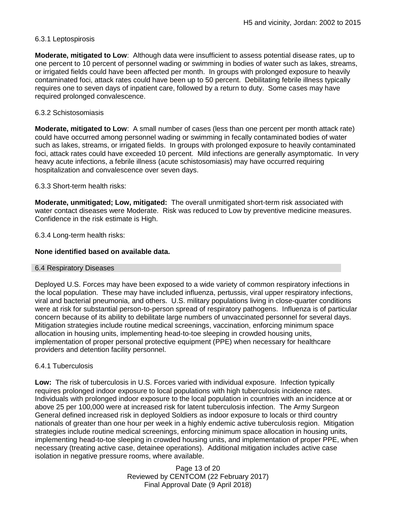## 6.3.1 Leptospirosis

**Moderate, mitigated to Low**: Although data were insufficient to assess potential disease rates, up to one percent to 10 percent of personnel wading or swimming in bodies of water such as lakes, streams, or irrigated fields could have been affected per month. In groups with prolonged exposure to heavily contaminated foci, attack rates could have been up to 50 percent. Debilitating febrile illness typically requires one to seven days of inpatient care, followed by a return to duty. Some cases may have required prolonged convalescence.

## 6.3.2 Schistosomiasis

**Moderate, mitigated to Low**: A small number of cases (less than one percent per month attack rate) could have occurred among personnel wading or swimming in fecally contaminated bodies of water such as lakes, streams, or irrigated fields. In groups with prolonged exposure to heavily contaminated foci, attack rates could have exceeded 10 percent. Mild infections are generally asymptomatic. In very heavy acute infections, a febrile illness (acute schistosomiasis) may have occurred requiring hospitalization and convalescence over seven days.

6.3.3 Short-term health risks:

**Moderate, unmitigated; Low, mitigated:** The overall unmitigated short-term risk associated with water contact diseases were Moderate. Risk was reduced to Low by preventive medicine measures. Confidence in the risk estimate is High.

6.3.4 Long-term health risks:

## **None identified based on available data.**

### 6.4 Respiratory Diseases

Deployed U.S. Forces may have been exposed to a wide variety of common respiratory infections in the local population. These may have included influenza, pertussis, viral upper respiratory infections, viral and bacterial pneumonia, and others. U.S. military populations living in close-quarter conditions were at risk for substantial person-to-person spread of respiratory pathogens. Influenza is of particular concern because of its ability to debilitate large numbers of unvaccinated personnel for several days. Mitigation strategies include routine medical screenings, vaccination, enforcing minimum space allocation in housing units, implementing head-to-toe sleeping in crowded housing units, implementation of proper personal protective equipment (PPE) when necessary for healthcare providers and detention facility personnel.

## 6.4.1 Tuberculosis

**Low:** The risk of tuberculosis in U.S. Forces varied with individual exposure. Infection typically requires prolonged indoor exposure to local populations with high tuberculosis incidence rates. Individuals with prolonged indoor exposure to the local population in countries with an incidence at or above 25 per 100,000 were at increased risk for latent tuberculosis infection. The Army Surgeon General defined increased risk in deployed Soldiers as indoor exposure to locals or third country nationals of greater than one hour per week in a highly endemic active tuberculosis region. Mitigation strategies include routine medical screenings, enforcing minimum space allocation in housing units, implementing head-to-toe sleeping in crowded housing units, and implementation of proper PPE, when necessary (treating active case, detainee operations). Additional mitigation includes active case isolation in negative pressure rooms, where available.

> Page 13 of 20 Reviewed by CENTCOM (22 February 2017) Final Approval Date (9 April 2018)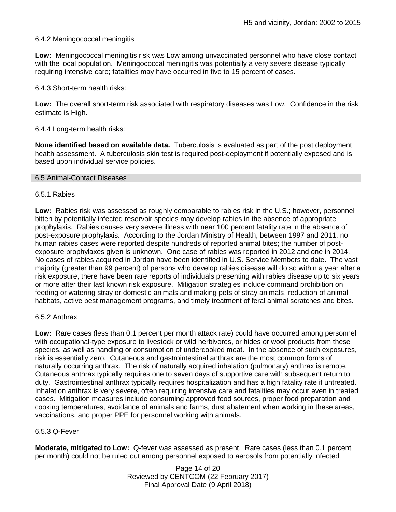## 6.4.2 Meningococcal meningitis

**Low:** Meningococcal meningitis risk was Low among unvaccinated personnel who have close contact with the local population. Meningococcal meningitis was potentially a very severe disease typically requiring intensive care; fatalities may have occurred in five to 15 percent of cases.

6.4.3 Short-term health risks:

**Low:** The overall short-term risk associated with respiratory diseases was Low. Confidence in the risk estimate is High.

### 6.4.4 Long-term health risks:

**None identified based on available data.** Tuberculosis is evaluated as part of the post deployment health assessment. A tuberculosis skin test is required post-deployment if potentially exposed and is based upon individual service policies.

#### 6.5 Animal-Contact Diseases

### 6.5.1 Rabies

**Low:** Rabies risk was assessed as roughly comparable to rabies risk in the U.S.; however, personnel bitten by potentially infected reservoir species may develop rabies in the absence of appropriate prophylaxis. Rabies causes very severe illness with near 100 percent fatality rate in the absence of post-exposure prophylaxis. According to the Jordan Ministry of Health, between 1997 and 2011, no human rabies cases were reported despite hundreds of reported animal bites; the number of postexposure prophylaxes given is unknown. One case of rabies was reported in 2012 and one in 2014. No cases of rabies acquired in Jordan have been identified in U.S. Service Members to date. The vast majority (greater than 99 percent) of persons who develop rabies disease will do so within a year after a risk exposure, there have been rare reports of individuals presenting with rabies disease up to six years or more after their last known risk exposure. Mitigation strategies include command prohibition on feeding or watering stray or domestic animals and making pets of stray animals, reduction of animal habitats, active pest management programs, and timely treatment of feral animal scratches and bites.

### 6.5.2 Anthrax

**Low:** Rare cases (less than 0.1 percent per month attack rate) could have occurred among personnel with occupational-type exposure to livestock or wild herbivores, or hides or wool products from these species, as well as handling or consumption of undercooked meat. In the absence of such exposures, risk is essentially zero. Cutaneous and gastrointestinal anthrax are the most common forms of naturally occurring anthrax. The risk of naturally acquired inhalation (pulmonary) anthrax is remote. Cutaneous anthrax typically requires one to seven days of supportive care with subsequent return to duty. Gastrointestinal anthrax typically requires hospitalization and has a high fatality rate if untreated. Inhalation anthrax is very severe, often requiring intensive care and fatalities may occur even in treated cases. Mitigation measures include consuming approved food sources, proper food preparation and cooking temperatures, avoidance of animals and farms, dust abatement when working in these areas, vaccinations, and proper PPE for personnel working with animals.

### 6.5.3 Q-Fever

**Moderate, mitigated to Low:** Q-fever was assessed as present. Rare cases (less than 0.1 percent per month) could not be ruled out among personnel exposed to aerosols from potentially infected

> Page 14 of 20 Reviewed by CENTCOM (22 February 2017) Final Approval Date (9 April 2018)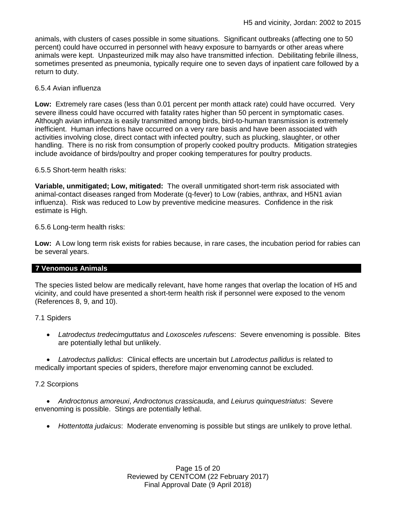animals, with clusters of cases possible in some situations. Significant outbreaks (affecting one to 50 percent) could have occurred in personnel with heavy exposure to barnyards or other areas where animals were kept. Unpasteurized milk may also have transmitted infection. Debilitating febrile illness, sometimes presented as pneumonia, typically require one to seven days of inpatient care followed by a return to duty.

## 6.5.4 Avian influenza

**Low:** Extremely rare cases (less than 0.01 percent per month attack rate) could have occurred. Very severe illness could have occurred with fatality rates higher than 50 percent in symptomatic cases. Although avian influenza is easily transmitted among birds, bird-to-human transmission is extremely inefficient. Human infections have occurred on a very rare basis and have been associated with activities involving close, direct contact with infected poultry, such as plucking, slaughter, or other handling. There is no risk from consumption of properly cooked poultry products. Mitigation strategies include avoidance of birds/poultry and proper cooking temperatures for poultry products.

6.5.5 Short-term health risks:

**Variable, unmitigated; Low, mitigated:** The overall unmitigated short-term risk associated with animal-contact diseases ranged from Moderate (q-fever) to Low (rabies, anthrax, and H5N1 avian influenza). Risk was reduced to Low by preventive medicine measures. Confidence in the risk estimate is High.

6.5.6 Long-term health risks:

**Low:** A Low long term risk exists for rabies because, in rare cases, the incubation period for rabies can be several years.

### **7 Venomous Animals**

The species listed below are medically relevant, have home ranges that overlap the location of H5 and vicinity, and could have presented a short-term health risk if personnel were exposed to the venom (References 8, 9, and 10).

7.1 Spiders

 *Latrodectus tredecimguttatus* and *Loxosceles rufescens*: Severe envenoming is possible. Bites are potentially lethal but unlikely.

 *Latrodectus pallidus*: Clinical effects are uncertain but *Latrodectus pallidus* is related to medically important species of spiders, therefore major envenoming cannot be excluded.

### 7.2 Scorpions

 *Androctonus amoreuxi*, *Androctonus crassicauda*, and *Leiurus quinquestriatus*: Severe envenoming is possible. Stings are potentially lethal.

*Hottentotta judaicus*: Moderate envenoming is possible but stings are unlikely to prove lethal.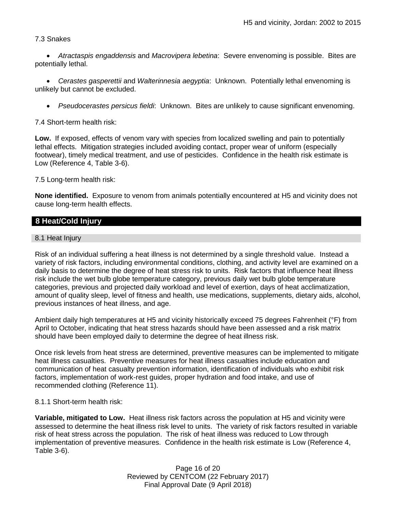## 7.3 Snakes

 *Atractaspis engaddensis* and *Macrovipera lebetina*: Severe envenoming is possible. Bites are potentially lethal.

 *Cerastes gasperettii* and *Walterinnesia aegyptia*: Unknown. Potentially lethal envenoming is unlikely but cannot be excluded.

*Pseudocerastes persicus fieldi*: Unknown. Bites are unlikely to cause significant envenoming.

7.4 Short-term health risk:

**Low.** If exposed, effects of venom vary with species from localized swelling and pain to potentially lethal effects. Mitigation strategies included avoiding contact, proper wear of uniform (especially footwear), timely medical treatment, and use of pesticides. Confidence in the health risk estimate is Low (Reference 4, Table 3-6).

7.5 Long-term health risk:

**None identified.** Exposure to venom from animals potentially encountered at H5 and vicinity does not cause long-term health effects.

## **8 Heat/Cold Injury**

## 8.1 Heat Injury

Risk of an individual suffering a heat illness is not determined by a single threshold value. Instead a variety of risk factors, including environmental conditions, clothing, and activity level are examined on a daily basis to determine the degree of heat stress risk to units. Risk factors that influence heat illness risk include the wet bulb globe temperature category, previous daily wet bulb globe temperature categories, previous and projected daily workload and level of exertion, days of heat acclimatization, amount of quality sleep, level of fitness and health, use medications, supplements, dietary aids, alcohol, previous instances of heat illness, and age.

Ambient daily high temperatures at H5 and vicinity historically exceed 75 degrees Fahrenheit (°F) from April to October, indicating that heat stress hazards should have been assessed and a risk matrix should have been employed daily to determine the degree of heat illness risk.

Once risk levels from heat stress are determined, preventive measures can be implemented to mitigate heat illness casualties. Preventive measures for heat illness casualties include education and communication of heat casualty prevention information, identification of individuals who exhibit risk factors, implementation of work-rest guides, proper hydration and food intake, and use of recommended clothing (Reference 11).

### 8.1.1 Short-term health risk:

**Variable, mitigated to Low.** Heat illness risk factors across the population at H5 and vicinity were assessed to determine the heat illness risk level to units. The variety of risk factors resulted in variable risk of heat stress across the population. The risk of heat illness was reduced to Low through implementation of preventive measures. Confidence in the health risk estimate is Low (Reference 4, Table 3-6).

> Page 16 of 20 Reviewed by CENTCOM (22 February 2017) Final Approval Date (9 April 2018)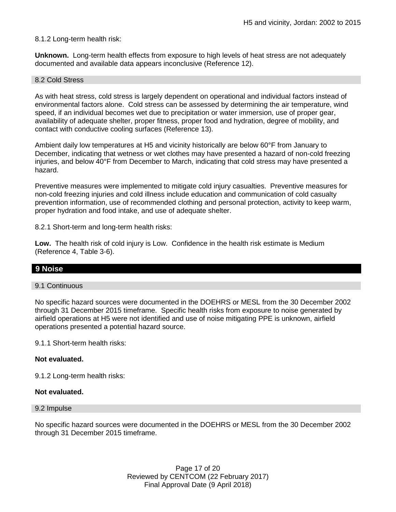## 8.1.2 Long-term health risk:

**Unknown.** Long-term health effects from exposure to high levels of heat stress are not adequately documented and available data appears inconclusive (Reference 12).

#### 8.2 Cold Stress

As with heat stress, cold stress is largely dependent on operational and individual factors instead of environmental factors alone. Cold stress can be assessed by determining the air temperature, wind speed, if an individual becomes wet due to precipitation or water immersion, use of proper gear, availability of adequate shelter, proper fitness, proper food and hydration, degree of mobility, and contact with conductive cooling surfaces (Reference 13).

Ambient daily low temperatures at H5 and vicinity historically are below 60°F from January to December, indicating that wetness or wet clothes may have presented a hazard of non-cold freezing injuries, and below 40°F from December to March, indicating that cold stress may have presented a hazard.

Preventive measures were implemented to mitigate cold injury casualties. Preventive measures for non-cold freezing injuries and cold illness include education and communication of cold casualty prevention information, use of recommended clothing and personal protection, activity to keep warm, proper hydration and food intake, and use of adequate shelter.

8.2.1 Short-term and long-term health risks:

**Low.** The health risk of cold injury is Low. Confidence in the health risk estimate is Medium (Reference 4, Table 3-6).

## **9 Noise**

### 9.1 Continuous

No specific hazard sources were documented in the DOEHRS or MESL from the 30 December 2002 through 31 December 2015 timeframe. Specific health risks from exposure to noise generated by airfield operations at H5 were not identified and use of noise mitigating PPE is unknown, airfield operations presented a potential hazard source.

9.1.1 Short-term health risks:

## **Not evaluated.**

9.1.2 Long-term health risks:

#### **Not evaluated.**

#### 9.2 Impulse

No specific hazard sources were documented in the DOEHRS or MESL from the 30 December 2002 through 31 December 2015 timeframe.

> Page 17 of 20 Reviewed by CENTCOM (22 February 2017) Final Approval Date (9 April 2018)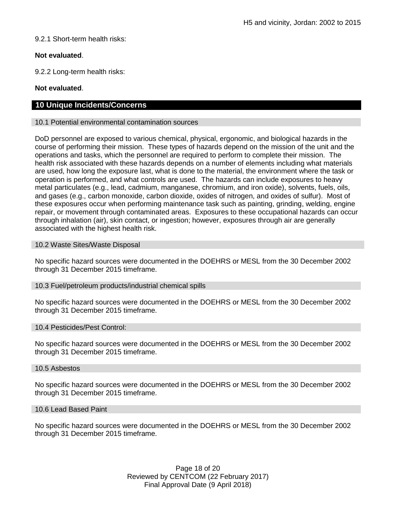## 9.2.1 Short-term health risks:

## **Not evaluated**.

9.2.2 Long-term health risks:

## **Not evaluated**.

## **10 Unique Incidents/Concerns**

## 10.1 Potential environmental contamination sources

DoD personnel are exposed to various chemical, physical, ergonomic, and biological hazards in the course of performing their mission. These types of hazards depend on the mission of the unit and the operations and tasks, which the personnel are required to perform to complete their mission. The health risk associated with these hazards depends on a number of elements including what materials are used, how long the exposure last, what is done to the material, the environment where the task or operation is performed, and what controls are used. The hazards can include exposures to heavy metal particulates (e.g., lead, cadmium, manganese, chromium, and iron oxide), solvents, fuels, oils, and gases (e.g., carbon monoxide, carbon dioxide, oxides of nitrogen, and oxides of sulfur). Most of these exposures occur when performing maintenance task such as painting, grinding, welding, engine repair, or movement through contaminated areas. Exposures to these occupational hazards can occur through inhalation (air), skin contact, or ingestion; however, exposures through air are generally associated with the highest health risk.

## 10.2 Waste Sites/Waste Disposal

No specific hazard sources were documented in the DOEHRS or MESL from the 30 December 2002 through 31 December 2015 timeframe.

## 10.3 Fuel/petroleum products/industrial chemical spills

No specific hazard sources were documented in the DOEHRS or MESL from the 30 December 2002 through 31 December 2015 timeframe.

### 10.4 Pesticides/Pest Control:

No specific hazard sources were documented in the DOEHRS or MESL from the 30 December 2002 through 31 December 2015 timeframe.

### 10.5 Asbestos

No specific hazard sources were documented in the DOEHRS or MESL from the 30 December 2002 through 31 December 2015 timeframe.

### 10.6 Lead Based Paint

No specific hazard sources were documented in the DOEHRS or MESL from the 30 December 2002 through 31 December 2015 timeframe.

> Page 18 of 20 Reviewed by CENTCOM (22 February 2017) Final Approval Date (9 April 2018)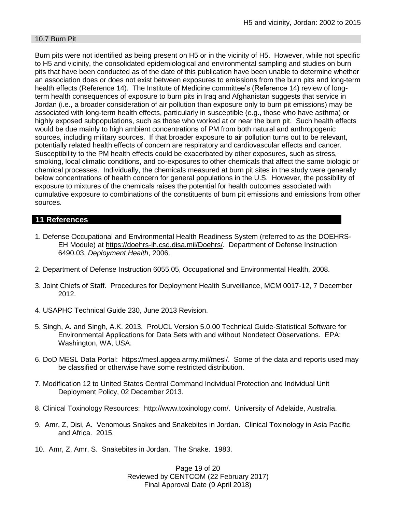## 10.7 Burn Pit

Burn pits were not identified as being present on H5 or in the vicinity of H5. However, while not specific to H5 and vicinity, the consolidated epidemiological and environmental sampling and studies on burn pits that have been conducted as of the date of this publication have been unable to determine whether an association does or does not exist between exposures to emissions from the burn pits and long-term health effects (Reference 14). The Institute of Medicine committee's (Reference 14) review of longterm health consequences of exposure to burn pits in Iraq and Afghanistan suggests that service in Jordan (i.e., a broader consideration of air pollution than exposure only to burn pit emissions) may be associated with long-term health effects, particularly in susceptible (e.g., those who have asthma) or highly exposed subpopulations, such as those who worked at or near the burn pit. Such health effects would be due mainly to high ambient concentrations of PM from both natural and anthropogenic sources, including military sources. If that broader exposure to air pollution turns out to be relevant, potentially related health effects of concern are respiratory and cardiovascular effects and cancer. Susceptibility to the PM health effects could be exacerbated by other exposures, such as stress, smoking, local climatic conditions, and co-exposures to other chemicals that affect the same biologic or chemical processes. Individually, the chemicals measured at burn pit sites in the study were generally below concentrations of health concern for general populations in the U.S. However, the possibility of exposure to mixtures of the chemicals raises the potential for health outcomes associated with cumulative exposure to combinations of the constituents of burn pit emissions and emissions from other sources.

## **11 References**

- 1. Defense Occupational and Environmental Health Readiness System (referred to as the DOEHRS-EH Module) at [https://doehrs-ih.csd.disa.mil/Doehrs/.](https://doehrs-ih.csd.disa.mil/Doehrs/) Department of Defense Instruction 6490.03, *Deployment Health*, 2006.
- 2. Department of Defense Instruction 6055.05, Occupational and Environmental Health, 2008.
- 3. Joint Chiefs of Staff. Procedures for Deployment Health Surveillance, MCM 0017-12, 7 December 2012.
- 4. USAPHC Technical Guide 230, June 2013 Revision.
- 5. Singh, A. and Singh, A.K. 2013. ProUCL Version 5.0.00 Technical Guide-Statistical Software for Environmental Applications for Data Sets with and without Nondetect Observations. EPA: Washington, WA, USA.
- 6. DoD MESL Data Portal: https://mesl.apgea.army.mil/mesl/. Some of the data and reports used may be classified or otherwise have some restricted distribution.
- 7. Modification 12 to United States Central Command Individual Protection and Individual Unit Deployment Policy, 02 December 2013.
- 8. Clinical Toxinology Resources: http://www.toxinology.com/. University of Adelaide, Australia.
- 9. Amr, Z, Disi, A. Venomous Snakes and Snakebites in Jordan. Clinical Toxinology in Asia Pacific and Africa. 2015.
- 10. Amr, Z, Amr, S. Snakebites in Jordan. The Snake. 1983.

Page 19 of 20 Reviewed by CENTCOM (22 February 2017) Final Approval Date (9 April 2018)